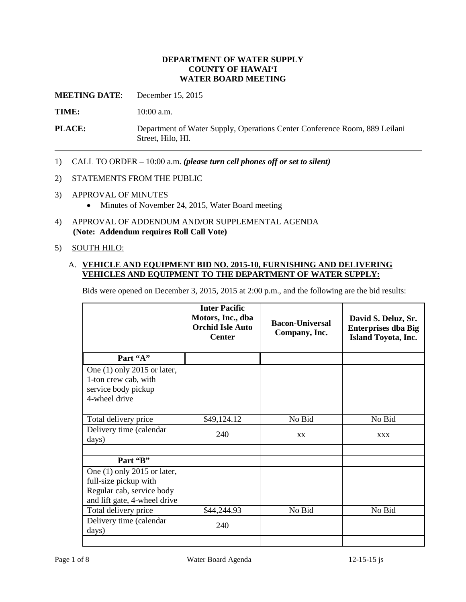#### **DEPARTMENT OF WATER SUPPLY COUNTY OF HAWAI'I WATER BOARD MEETING**

**MEETING DATE:** December 15, 2015

TIME: **10:00 a.m.** 

**PLACE:** Department of Water Supply, Operations Center Conference Room, 889 Leilani Street, Hilo, HI.

1) CALL TO ORDER – 10:00 a.m. *(please turn cell phones off or set to silent)* 

#### 2) STATEMENTS FROM THE PUBLIC

- 3) APPROVAL OF MINUTES
	- Minutes of November 24, 2015, Water Board meeting
- 4) APPROVAL OF ADDENDUM AND/OR SUPPLEMENTAL AGENDA **(Note: Addendum requires Roll Call Vote)**
- 5) SOUTH HILO:

#### A. **VEHICLE AND EQUIPMENT BID NO. 2015-10, FURNISHING AND DELIVERING VEHICLES AND EQUIPMENT TO THE DEPARTMENT OF WATER SUPPLY:**

Bids were opened on December 3, 2015, 2015 at 2:00 p.m., and the following are the bid results:

|                                                                                                                     | <b>Inter Pacific</b><br>Motors, Inc., dba<br><b>Orchid Isle Auto</b><br><b>Center</b> | <b>Bacon-Universal</b><br>Company, Inc. | David S. Deluz, Sr.<br><b>Enterprises dba Big</b><br><b>Island Toyota, Inc.</b> |
|---------------------------------------------------------------------------------------------------------------------|---------------------------------------------------------------------------------------|-----------------------------------------|---------------------------------------------------------------------------------|
| Part "A"                                                                                                            |                                                                                       |                                         |                                                                                 |
| One $(1)$ only 2015 or later,<br>1-ton crew cab, with<br>service body pickup<br>4-wheel drive                       |                                                                                       |                                         |                                                                                 |
| Total delivery price                                                                                                | \$49,124.12                                                                           | No Bid                                  | No Bid                                                                          |
| Delivery time (calendar<br>days)                                                                                    | 240                                                                                   | XX                                      | <b>XXX</b>                                                                      |
|                                                                                                                     |                                                                                       |                                         |                                                                                 |
| Part "B"                                                                                                            |                                                                                       |                                         |                                                                                 |
| One $(1)$ only 2015 or later,<br>full-size pickup with<br>Regular cab, service body<br>and lift gate, 4-wheel drive |                                                                                       |                                         |                                                                                 |
| Total delivery price                                                                                                | \$44,244.93                                                                           | No Bid                                  | No Bid                                                                          |
| Delivery time (calendar<br>days)                                                                                    | 240                                                                                   |                                         |                                                                                 |
|                                                                                                                     |                                                                                       |                                         |                                                                                 |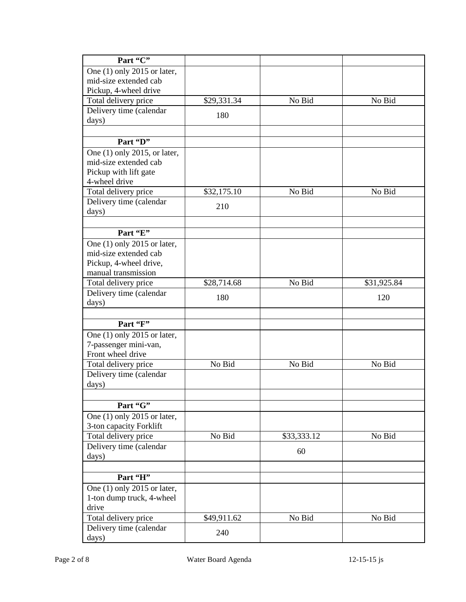| Part "C"                     |             |             |             |
|------------------------------|-------------|-------------|-------------|
| One (1) only 2015 or later,  |             |             |             |
| mid-size extended cab        |             |             |             |
| Pickup, 4-wheel drive        |             |             |             |
| Total delivery price         | \$29,331.34 | No Bid      | No Bid      |
| Delivery time (calendar      |             |             |             |
| days)                        | 180         |             |             |
|                              |             |             |             |
| Part "D"                     |             |             |             |
| One (1) only 2015, or later, |             |             |             |
| mid-size extended cab        |             |             |             |
| Pickup with lift gate        |             |             |             |
| 4-wheel drive                |             |             |             |
| Total delivery price         | \$32,175.10 | No Bid      | No Bid      |
| Delivery time (calendar      |             |             |             |
| days)                        | 210         |             |             |
|                              |             |             |             |
| Part "E"                     |             |             |             |
| One (1) only 2015 or later,  |             |             |             |
| mid-size extended cab        |             |             |             |
| Pickup, 4-wheel drive,       |             |             |             |
| manual transmission          |             |             |             |
|                              |             |             |             |
| Total delivery price         | \$28,714.68 | No Bid      | \$31,925.84 |
| Delivery time (calendar      | 180         |             | 120         |
| days)                        |             |             |             |
|                              |             |             |             |
| Part "F"                     |             |             |             |
| One (1) only 2015 or later,  |             |             |             |
| 7-passenger mini-van,        |             |             |             |
| Front wheel drive            |             |             |             |
| Total delivery price         | No Bid      | No Bid      | No Bid      |
| Delivery time (calendar      |             |             |             |
| days)                        |             |             |             |
|                              |             |             |             |
| Part "G"                     |             |             |             |
| One (1) only 2015 or later,  |             |             |             |
| 3-ton capacity Forklift      |             |             |             |
| Total delivery price         | No Bid      | \$33,333.12 | No Bid      |
| Delivery time (calendar      |             | 60          |             |
| days)                        |             |             |             |
|                              |             |             |             |
| Part 'H"                     |             |             |             |
| One (1) only 2015 or later,  |             |             |             |
| 1-ton dump truck, 4-wheel    |             |             |             |
| drive                        |             |             |             |
| Total delivery price         | \$49,911.62 | No Bid      | No Bid      |
| Delivery time (calendar      |             |             |             |
| days)                        | 240         |             |             |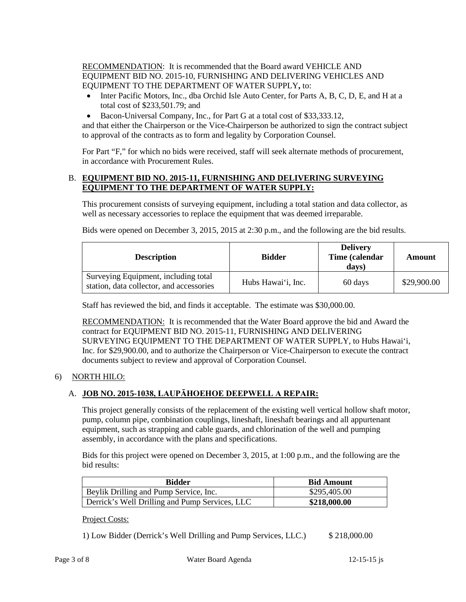RECOMMENDATION: It is recommended that the Board award VEHICLE AND EQUIPMENT BID NO. 2015-10, FURNISHING AND DELIVERING VEHICLES AND EQUIPMENT TO THE DEPARTMENT OF WATER SUPPLY**,** to:

- total cost of \$233,501.79; and Inter Pacific Motors, Inc., dba Orchid Isle Auto Center, for Parts A, B, C, D, E, and H at a
- Bacon-Universal Company, Inc., for Part G at a total cost of \$33,333.12,

and that either the Chairperson or the Vice-Chairperson be authorized to sign the contract subject to approval of the contracts as to form and legality by Corporation Counsel.

For Part "F," for which no bids were received, staff will seek alternate methods of procurement, in accordance with Procurement Rules.

#### B. **EQUIPMENT BID NO. 2015-11, FURNISHING AND DELIVERING SURVEYING EQUIPMENT TO THE DEPARTMENT OF WATER SUPPLY:**

This procurement consists of surveying equipment, including a total station and data collector, as well as necessary accessories to replace the equipment that was deemed irreparable.

Bids were opened on December 3, 2015, 2015 at 2:30 p.m., and the following are the bid results.

| <b>Description</b>                                                               | <b>Bidder</b>      | <b>Delivery</b><br>Time (calendar<br>davs) | Amount      |
|----------------------------------------------------------------------------------|--------------------|--------------------------------------------|-------------|
| Surveying Equipment, including total<br>station, data collector, and accessories | Hubs Hawai'i, Inc. | 60 days                                    | \$29,900.00 |

Staff has reviewed the bid, and finds it acceptable. The estimate was \$30,000.00.

RECOMMENDATION: It is recommended that the Water Board approve the bid and Award the Inc. for \$29,900.00, and to authorize the Chairperson or Vice-Chairperson to execute the contract contract for EQUIPMENT BID NO. 2015-11, FURNISHING AND DELIVERING SURVEYING EQUIPMENT TO THE DEPARTMENT OF WATER SUPPLY, to Hubs Hawai'i, documents subject to review and approval of Corporation Counsel.

#### 6) NORTH HILO:

# A. **JOB NO. 2015-1038, LAUPĀHOEHOE DEEPWELL A REPAIR:**

This project generally consists of the replacement of the existing well vertical hollow shaft motor, pump, column pipe, combination couplings, lineshaft, lineshaft bearings and all appurtenant equipment, such as strapping and cable guards, and chlorination of the well and pumping assembly, in accordance with the plans and specifications.

 Bids for this project were opened on December 3, 2015, at 1:00 p.m., and the following are the bid results:

| <b>Bidder</b>                                  | <b>Bid Amount</b> |
|------------------------------------------------|-------------------|
| Beylik Drilling and Pump Service, Inc.         | \$295,405.00      |
| Derrick's Well Drilling and Pump Services, LLC | \$218,000.00      |

#### Project Costs:

1) Low Bidder (Derrick's Well Drilling and Pump Services, LLC.) \$ 218,000.00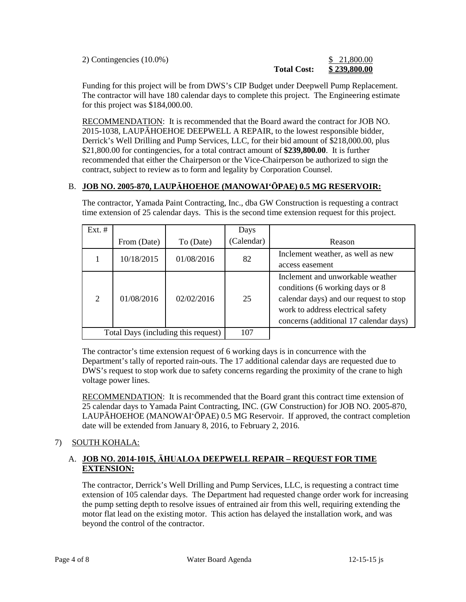2) Contingencies (10.0%) S 21,800.00

# **Total Cost: \$ 239,800.00**

Funding for this project will be from DWS's CIP Budget under Deepwell Pump Replacement. The contractor will have 180 calendar days to complete this project. The Engineering estimate for this project was \$184,000.00.

RECOMMENDATION: It is recommended that the Board award the contract for JOB NO. \$21,800.00 for contingencies, for a total contract amount of **\$239,800.00**. It is further recommended that either the Chairperson or the Vice-Chairperson be authorized to sign the contract, subject to review as to form and legality by Corporation Counsel. 2015-1038, LAUPĀHOEHOE DEEPWELL A REPAIR, to the lowest responsible bidder, Derrick's Well Drilling and Pump Services, LLC, for their bid amount of \$218,000.00, plus

# B. **JOB NO. 2005-870, LAUPĀHOEHOE (MANOWAI'ŌPAE) 0.5 MG RESERVOIR:**

The contractor, Yamada Paint Contracting, Inc., dba GW Construction is requesting a contract time extension of 25 calendar days. This is the second time extension request for this project.

| Ext. $#$                            |             |            | Days       |                                                                                                                                                                                              |
|-------------------------------------|-------------|------------|------------|----------------------------------------------------------------------------------------------------------------------------------------------------------------------------------------------|
|                                     | From (Date) | To (Date)  | (Calendar) | Reason                                                                                                                                                                                       |
|                                     | 10/18/2015  | 01/08/2016 | 82         | Inclement weather, as well as new<br>access easement                                                                                                                                         |
| $\overline{2}$                      | 01/08/2016  | 02/02/2016 | 25         | Inclement and unworkable weather<br>conditions (6 working days or 8<br>calendar days) and our request to stop<br>work to address electrical safety<br>concerns (additional 17 calendar days) |
| Total Days (including this request) |             | 107        |            |                                                                                                                                                                                              |

 Department's tally of reported rain-outs. The 17 additional calendar days are requested due to The contractor's time extension request of 6 working days is in concurrence with the DWS's request to stop work due to safety concerns regarding the proximity of the crane to high voltage power lines.

RECOMMENDATION: It is recommended that the Board grant this contract time extension of 25 calendar days to Yamada Paint Contracting, INC. (GW Construction) for JOB NO. 2005-870, LAUPĀHOEHOE (MANOWAI'ŌPAE) 0.5 MG Reservoir. If approved, the contract completion date will be extended from January 8, 2016, to February 2, 2016.

# 7) SOUTH KOHALA:

# A. **JOB NO. 2014-1015, ĀHUALOA DEEPWELL REPAIR – REQUEST FOR TIME EXTENSION:**

 beyond the control of the contractor. The contractor, Derrick's Well Drilling and Pump Services, LLC, is requesting a contract time extension of 105 calendar days. The Department had requested change order work for increasing the pump setting depth to resolve issues of entrained air from this well, requiring extending the motor flat lead on the existing motor. This action has delayed the installation work, and was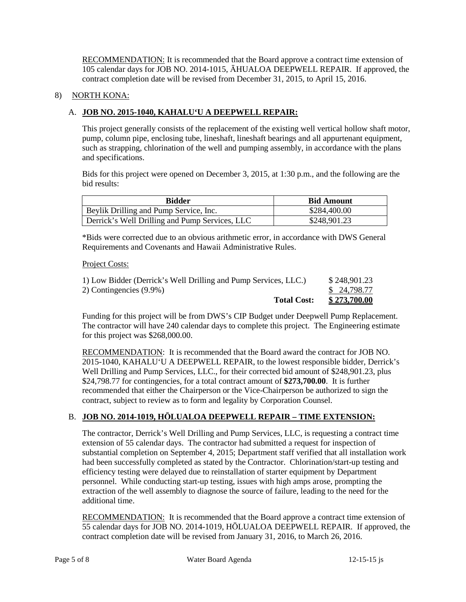RECOMMENDATION: It is recommended that the Board approve a contract time extension of 105 calendar days for JOB NO. 2014-1015, ĀHUALOA DEEPWELL REPAIR. If approved, the contract completion date will be revised from December 31, 2015, to April 15, 2016.

#### 8) NORTH KONA:

# A. **JOB NO. 2015-1040, KAHALU'U A DEEPWELL REPAIR:**

This project generally consists of the replacement of the existing well vertical hollow shaft motor, pump, column pipe, enclosing tube, lineshaft, lineshaft bearings and all appurtenant equipment, such as strapping, chlorination of the well and pumping assembly, in accordance with the plans and specifications.

 Bids for this project were opened on December 3, 2015, at 1:30 p.m., and the following are the bid results:

| Bidder                                         | <b>Bid Amount</b> |
|------------------------------------------------|-------------------|
| Beylik Drilling and Pump Service, Inc.         | \$284,400.00      |
| Derrick's Well Drilling and Pump Services, LLC | \$248,901.23      |

\*Bids were corrected due to an obvious arithmetic error, in accordance with DWS General Requirements and Covenants and Hawaii Administrative Rules.

#### Project Costs:

| <b>Total Cost:</b>                                              | \$273,700.00 |
|-----------------------------------------------------------------|--------------|
| 2) Contingencies (9.9%)                                         | \$ 24,798.77 |
| 1) Low Bidder (Derrick's Well Drilling and Pump Services, LLC.) | \$248,901.23 |

Funding for this project will be from DWS's CIP Budget under Deepwell Pump Replacement. The contractor will have 240 calendar days to complete this project. The Engineering estimate for this project was \$268,000.00.

RECOMMENDATION: It is recommended that the Board award the contract for JOB NO. Well Drilling and Pump Services, LLC., for their corrected bid amount of \$248,901.23, plus \$24,798.77 for contingencies, for a total contract amount of **\$273,700.00**. It is further recommended that either the Chairperson or the Vice-Chairperson be authorized to sign the contract, subject to review as to form and legality by Corporation Counsel. 2015-1040, KAHALU'U A DEEPWELL REPAIR, to the lowest responsible bidder, Derrick's

# B. **JOB NO. 2014-1019, HŌLUALOA DEEPWELL REPAIR – TIME EXTENSION:**

 extraction of the well assembly to diagnose the source of failure, leading to the need for the The contractor, Derrick's Well Drilling and Pump Services, LLC, is requesting a contract time extension of 55 calendar days. The contractor had submitted a request for inspection of substantial completion on September 4, 2015; Department staff verified that all installation work had been successfully completed as stated by the Contractor. Chlorination/start-up testing and efficiency testing were delayed due to reinstallation of starter equipment by Department personnel. While conducting start-up testing, issues with high amps arose, prompting the additional time.

RECOMMENDATION: It is recommended that the Board approve a contract time extension of 55 calendar days for JOB NO. 2014-1019, HŌLUALOA DEEPWELL REPAIR. If approved, the contract completion date will be revised from January 31, 2016, to March 26, 2016.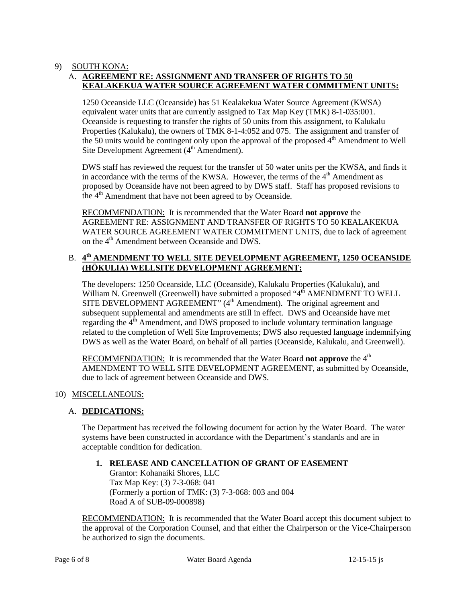#### 9) SOUTH KONA:

# A. **AGREEMENT RE: ASSIGNMENT AND TRANSFER OF RIGHTS TO 50 KEALAKEKUA WATER SOURCE AGREEMENT WATER COMMITMENT UNITS:**

 equivalent water units that are currently assigned to Tax Map Key (TMK) 8-1-035:001. Oceanside is requesting to transfer the rights of 50 units from this assignment, to Kalukalu Site Development Agreement  $(4<sup>th</sup>$  Amendment). 1250 Oceanside LLC (Oceanside) has 51 Kealakekua Water Source Agreement (KWSA) Properties (Kalukalu), the owners of TMK 8-1-4:052 and 075. The assignment and transfer of the 50 units would be contingent only upon the approval of the proposed  $4<sup>th</sup>$  Amendment to Well

the 4<sup>th</sup> Amendment that have not been agreed to by Oceanside. DWS staff has reviewed the request for the transfer of 50 water units per the KWSA, and finds it in accordance with the terms of the KWSA. However, the terms of the  $4<sup>th</sup>$  Amendment as proposed by Oceanside have not been agreed to by DWS staff. Staff has proposed revisions to

 RECOMMENDATION: It is recommended that the Water Board **not approve** the AGREEMENT RE: ASSIGNMENT AND TRANSFER OF RIGHTS TO 50 KEALAKEKUA WATER SOURCE AGREEMENT WATER COMMITMENT UNITS, due to lack of agreement on the 4<sup>th</sup> Amendment between Oceanside and DWS.

#### B. **4th AMENDMENT TO WELL SITE DEVELOPMENT AGREEMENT, 1250 OCEANSIDE (HŌKULIA) WELLSITE DEVELOPMENT AGREEMENT:**

The developers: 1250 Oceanside, LLC (Oceanside), Kalukalu Properties (Kalukalu), and William N. Greenwell (Greenwell) have submitted a proposed "4<sup>th</sup> AMENDMENT TO WELL SITE DEVELOPMENT AGREEMENT"  $(4<sup>th</sup>$  Amendment). The original agreement and subsequent supplemental and amendments are still in effect. DWS and Oceanside have met regarding the  $4<sup>th</sup>$  Amendment, and DWS proposed to include voluntary termination language related to the completion of Well Site Improvements; DWS also requested language indemnifying DWS as well as the Water Board, on behalf of all parties (Oceanside, Kalukalu, and Greenwell).

RECOMMENDATION: It is recommended that the Water Board **not approve** the 4<sup>th</sup> AMENDMENT TO WELL SITE DEVELOPMENT AGREEMENT, as submitted by Oceanside, due to lack of agreement between Oceanside and DWS.

# 10) MISCELLANEOUS:

# A. **DEDICATIONS:**

The Department has received the following document for action by the Water Board. The water systems have been constructed in accordance with the Department's standards and are in acceptable condition for dedication.

#### **1. RELEASE AND CANCELLATION OF GRANT OF EASEMENT**

Grantor: Kohanaiki Shores, LLC Tax Map Key: (3) 7-3-068: 041 (Formerly a portion of TMK: (3) 7-3-068: 003 and 004 Road A of SUB-09-000898)

RECOMMENDATION: It is recommended that the Water Board accept this document subject to the approval of the Corporation Counsel, and that either the Chairperson or the Vice-Chairperson be authorized to sign the documents.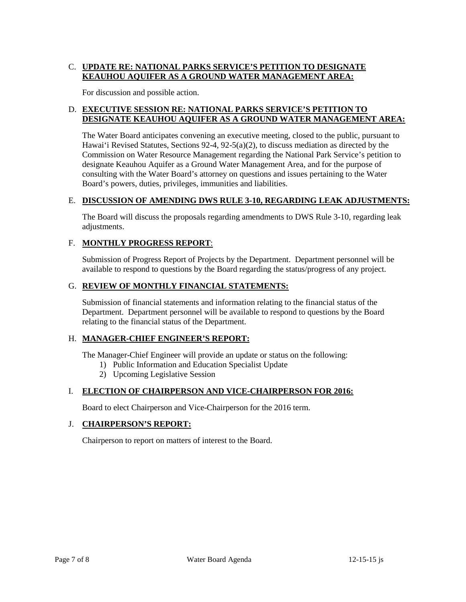# C. **UPDATE RE: NATIONAL PARKS SERVICE'S PETITION TO DESIGNATE KEAUHOU AQUIFER AS A GROUND WATER MANAGEMENT AREA:**

For discussion and possible action.

# D. **EXECUTIVE SESSION RE: NATIONAL PARKS SERVICE'S PETITION TO DESIGNATE KEAUHOU AQUIFER AS A GROUND WATER MANAGEMENT AREA:**

 Hawai'i Revised Statutes, Sections 92-4, 92-5(a)(2), to discuss mediation as directed by the designate Keauhou Aquifer as a Ground Water Management Area, and for the purpose of consulting with the Water Board's attorney on questions and issues pertaining to the Water The Water Board anticipates convening an executive meeting, closed to the public, pursuant to Commission on Water Resource Management regarding the National Park Service's petition to Board's powers, duties, privileges, immunities and liabilities.

# E. **DISCUSSION OF AMENDING DWS RULE 3-10, REGARDING LEAK ADJUSTMENTS:**

 The Board will discuss the proposals regarding amendments to DWS Rule 3-10, regarding leak adjustments.

# F. **MONTHLY PROGRESS REPORT**:

Submission of Progress Report of Projects by the Department. Department personnel will be available to respond to questions by the Board regarding the status/progress of any project.

# G. **REVIEW OF MONTHLY FINANCIAL STATEMENTS:**

 Submission of financial statements and information relating to the financial status of the relating to the financial status of the Department. Department. Department personnel will be available to respond to questions by the Board

# H. **MANAGER-CHIEF ENGINEER'S REPORT:**

The Manager-Chief Engineer will provide an update or status on the following:

- 1) Public Information and Education Specialist Update
- 2) Upcoming Legislative Session

# I. **ELECTION OF CHAIRPERSON AND VICE-CHAIRPERSON FOR 2016:**

Board to elect Chairperson and Vice-Chairperson for the 2016 term.

# J. **CHAIRPERSON'S REPORT:**

Chairperson to report on matters of interest to the Board.